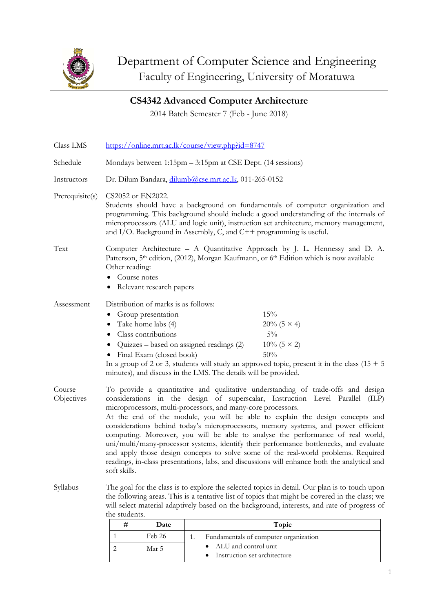

**CS4342 Advanced Computer Architecture**

2014 Batch Semester 7 (Feb - June 2018)

| Class LMS            | https://online.mrt.ac.lk/course/view.php?id=8747                                                                                                                                                                                                                                                                                                              |                                                                                                                                       |                                                                                                             |                                                                                                                                                                                                                                                                                                                                                                                                                                                                                                                                                                                                                                                                                                             |  |  |  |
|----------------------|---------------------------------------------------------------------------------------------------------------------------------------------------------------------------------------------------------------------------------------------------------------------------------------------------------------------------------------------------------------|---------------------------------------------------------------------------------------------------------------------------------------|-------------------------------------------------------------------------------------------------------------|-------------------------------------------------------------------------------------------------------------------------------------------------------------------------------------------------------------------------------------------------------------------------------------------------------------------------------------------------------------------------------------------------------------------------------------------------------------------------------------------------------------------------------------------------------------------------------------------------------------------------------------------------------------------------------------------------------------|--|--|--|
| Schedule             | Mondays between 1:15pm – 3:15pm at CSE Dept. (14 sessions)                                                                                                                                                                                                                                                                                                    |                                                                                                                                       |                                                                                                             |                                                                                                                                                                                                                                                                                                                                                                                                                                                                                                                                                                                                                                                                                                             |  |  |  |
| Instructors          | Dr. Dilum Bandara, dilumb@cse.mrt.ac.lk, 011-265-0152                                                                                                                                                                                                                                                                                                         |                                                                                                                                       |                                                                                                             |                                                                                                                                                                                                                                                                                                                                                                                                                                                                                                                                                                                                                                                                                                             |  |  |  |
| Prerequisite(s)      | CS2052 or EN2022.<br>Students should have a background on fundamentals of computer organization and<br>programming. This background should include a good understanding of the internals of<br>microprocessors (ALU and logic unit), instruction set architecture, memory management,<br>and I/O. Background in Assembly, C, and $C++$ programming is useful. |                                                                                                                                       |                                                                                                             |                                                                                                                                                                                                                                                                                                                                                                                                                                                                                                                                                                                                                                                                                                             |  |  |  |
| Text                 | Other reading:<br>Course notes                                                                                                                                                                                                                                                                                                                                | Relevant research papers                                                                                                              |                                                                                                             | Computer Architecture – A Quantitative Approach by J. L. Hennessy and D. A.<br>Patterson, 5 <sup>th</sup> edition, (2012), Morgan Kaufmann, or 6 <sup>th</sup> Edition which is now available                                                                                                                                                                                                                                                                                                                                                                                                                                                                                                               |  |  |  |
| Assessment           | ٠<br>٠                                                                                                                                                                                                                                                                                                                                                        | Distribution of marks is as follows:<br>Group presentation<br>Take home labs (4)<br>Class contributions<br>• Final Exam (closed book) | Quizzes – based on assigned readings (2)<br>minutes), and discuss in the LMS. The details will be provided. | 15%<br>$20\% (5 \times 4)$<br>$5\%$<br>$10\%$ (5 × 2)<br>50%<br>In a group of 2 or 3, students will study an approved topic, present it in the class $(15 + 5)$                                                                                                                                                                                                                                                                                                                                                                                                                                                                                                                                             |  |  |  |
| Course<br>Objectives | soft skills.                                                                                                                                                                                                                                                                                                                                                  |                                                                                                                                       | microprocessors, multi-processors, and many-core processors.                                                | To provide a quantitative and qualitative understanding of trade-offs and design<br>considerations in the design of superscalar, Instruction Level Parallel (ILP)<br>At the end of the module, you will be able to explain the design concepts and<br>considerations behind today's microprocessors, memory systems, and power efficient<br>computing. Moreover, you will be able to analyse the performance of real world,<br>uni/multi/many-processor systems, identify their performance bottlenecks, and evaluate<br>and apply those design concepts to solve some of the real-world problems. Required<br>readings, in-class presentations, labs, and discussions will enhance both the analytical and |  |  |  |
| Syllabus             | The goal for the class is to explore the selected topics in detail. Our plan is to touch upon<br>the following areas. This is a tentative list of topics that might be covered in the class; we<br>will select material adaptively based on the background, interests, and rate of progress of<br>the students.                                               |                                                                                                                                       |                                                                                                             |                                                                                                                                                                                                                                                                                                                                                                                                                                                                                                                                                                                                                                                                                                             |  |  |  |
|                      | #                                                                                                                                                                                                                                                                                                                                                             | Date                                                                                                                                  |                                                                                                             | Topic                                                                                                                                                                                                                                                                                                                                                                                                                                                                                                                                                                                                                                                                                                       |  |  |  |
|                      | 1                                                                                                                                                                                                                                                                                                                                                             | Feb 26                                                                                                                                | 1.                                                                                                          | Fundamentals of computer organization                                                                                                                                                                                                                                                                                                                                                                                                                                                                                                                                                                                                                                                                       |  |  |  |
|                      | $\mathcal{L}$                                                                                                                                                                                                                                                                                                                                                 | $M_{\alpha\sigma}$ 5                                                                                                                  | • ALU and control unit                                                                                      |                                                                                                                                                                                                                                                                                                                                                                                                                                                                                                                                                                                                                                                                                                             |  |  |  |

• Instruction set architecture

2 Mar 5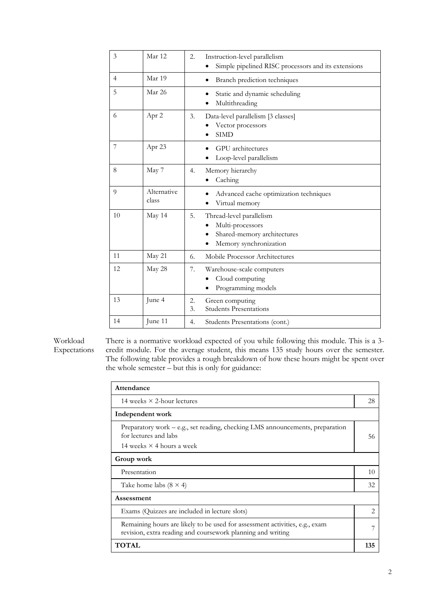| 3              | Mar 12               | $\overline{2}$ . | Instruction-level parallelism<br>Simple pipelined RISC processors and its extensions                  |
|----------------|----------------------|------------------|-------------------------------------------------------------------------------------------------------|
| $\overline{4}$ | Mar 19               |                  | Branch prediction techniques                                                                          |
| 5              | Mar 26               |                  | Static and dynamic scheduling<br>Multithreading                                                       |
| 6              | Apr 2                | 3.               | Data-level parallelism [3 classes]<br>Vector processors<br><b>SIMD</b>                                |
| 7              | Apr 23               |                  | <b>GPU</b> architectures<br>Loop-level parallelism                                                    |
| 8              | May 7                | 4.               | Memory hierarchy<br>Caching                                                                           |
| 9              | Alternative<br>class |                  | Advanced cache optimization techniques<br>Virtual memory                                              |
| 10             | May 14               | 5.               | Thread-level parallelism<br>Multi-processors<br>Shared-memory architectures<br>Memory synchronization |
| 11             | May 21               | 6.               | Mobile Processor Architectures                                                                        |
| 12             | May 28               | 7.               | Warehouse-scale computers<br>Cloud computing<br>Programming models                                    |
| 13             | June 4               | 2.<br>3.         | Green computing<br><b>Students Presentations</b>                                                      |
| 14             | June 11              | 4.               | Students Presentations (cont.)                                                                        |

Workload Expectations There is a normative workload expected of you while following this module. This is a 3 credit module. For the average student, this means 135 study hours over the semester. The following table provides a rough breakdown of how these hours might be spent over the whole semester – but this is only for guidance:

| Attendance                                                                                                                                 |    |  |  |  |  |
|--------------------------------------------------------------------------------------------------------------------------------------------|----|--|--|--|--|
| 14 weeks $\times$ 2-hour lectures                                                                                                          |    |  |  |  |  |
| Independent work                                                                                                                           |    |  |  |  |  |
| Preparatory work – e.g., set reading, checking LMS announcements, preparation<br>for lectures and labs<br>14 weeks $\times$ 4 hours a week | 56 |  |  |  |  |
| Group work                                                                                                                                 |    |  |  |  |  |
| Presentation                                                                                                                               | 10 |  |  |  |  |
| Take home labs $(8 \times 4)$                                                                                                              | 32 |  |  |  |  |
| Assessment                                                                                                                                 |    |  |  |  |  |
| Exams (Quizzes are included in lecture slots)                                                                                              | 2  |  |  |  |  |
| Remaining hours are likely to be used for assessment activities, e.g., exam<br>revision, extra reading and coursework planning and writing |    |  |  |  |  |
| <b>TOTAL</b>                                                                                                                               |    |  |  |  |  |